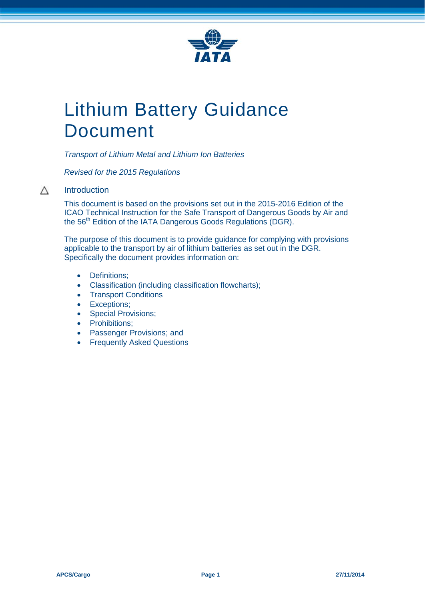

# Lithium Battery Guidance Document

*Transport of Lithium Metal and Lithium Ion Batteries*

*Revised for the 2015 Regulations*

#### **Introduction** Δ

This document is based on the provisions set out in the 2015-2016 Edition of the ICAO Technical Instruction for the Safe Transport of Dangerous Goods by Air and the 56<sup>th</sup> Edition of the IATA Dangerous Goods Regulations (DGR).

The purpose of this document is to provide guidance for complying with provisions applicable to the transport by air of lithium batteries as set out in the DGR. Specifically the document provides information on:

- Definitions;
- Classification (including classification flowcharts);
- Transport Conditions
- Exceptions;
- Special Provisions;
- Prohibitions:
- Passenger Provisions; and
- Frequently Asked Questions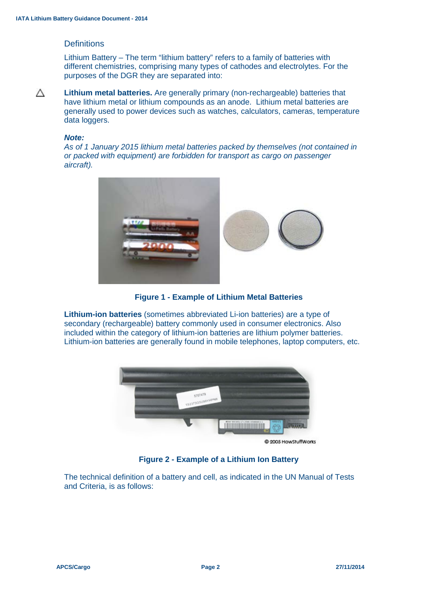#### **Definitions**

Lithium Battery – The term "lithium battery" refers to a family of batteries with different chemistries, comprising many types of cathodes and electrolytes. For the purposes of the DGR they are separated into:

Δ **Lithium metal batteries.** Are generally primary (non-rechargeable) batteries that have lithium metal or lithium compounds as an anode. Lithium metal batteries are generally used to power devices such as watches, calculators, cameras, temperature data loggers.

#### *Note:*

*As of 1 January 2015 lithium metal batteries packed by themselves (not contained in or packed with equipment) are forbidden for transport as cargo on passenger aircraft).*



**Figure 1 - Example of Lithium Metal Batteries**

**Lithium-ion batteries** (sometimes abbreviated Li-ion batteries) are a type of secondary (rechargeable) battery commonly used in consumer electronics. Also included within the category of lithium-ion batteries are lithium polymer batteries. Lithium-ion batteries are generally found in mobile telephones, laptop computers, etc.



#### **Figure 2 - Example of a Lithium Ion Battery**

The technical definition of a battery and cell, as indicated in the UN Manual of Tests and Criteria, is as follows: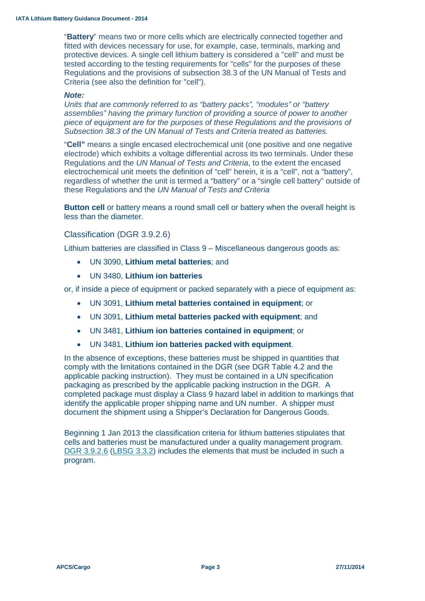"**Battery**" means two or more cells which are electrically connected together and fitted with devices necessary for use, for example, case, terminals, marking and protective devices. A single cell lithium battery is considered a "cell" and must be tested according to the testing requirements for "cells" for the purposes of these Regulations and the provisions of subsection 38.3 of the UN Manual of Tests and Criteria (see also the definition for "cell").

#### *Note:*

*Units that are commonly referred to as "battery packs", "modules" or "battery assemblies" having the primary function of providing a source of power to another piece of equipment are for the purposes of these Regulations and the provisions of Subsection 38.3 of the UN Manual of Tests and Criteria treated as batteries.*

"**Cell"** means a single encased electrochemical unit (one positive and one negative electrode) which exhibits a voltage differential across its two terminals. Under these Regulations and the *UN Manual of Tests and Criteria*, to the extent the encased electrochemical unit meets the definition of "cell" herein, it is a "cell", not a "battery", regardless of whether the unit is termed a "battery" or a "single cell battery" outside of these Regulations and the *UN Manual of Tests and Criteria*

**Button cell** or battery means a round small cell or battery when the overall height is less than the diameter.

#### Classification (DGR 3.9.2.6)

Lithium batteries are classified in Class 9 – Miscellaneous dangerous goods as:

- UN 3090, **Lithium metal batteries**; and
- UN 3480, **Lithium ion batteries**

or, if inside a piece of equipment or packed separately with a piece of equipment as:

- UN 3091, **Lithium metal batteries contained in equipment**; or
- UN 3091, **Lithium metal batteries packed with equipment**; and
- UN 3481, **Lithium ion batteries contained in equipment**; or
- UN 3481, **Lithium ion batteries packed with equipment**.

In the absence of exceptions, these batteries must be shipped in quantities that comply with the limitations contained in the DGR (see DGR Table 4.2 and the applicable packing instruction). They must be contained in a UN specification packaging as prescribed by the applicable packing instruction in the DGR. A completed package must display a Class 9 hazard label in addition to markings that identify the applicable proper shipping name and UN number. A shipper must document the shipment using a Shipper's Declaration for Dangerous Goods.

Beginning 1 Jan 2013 the classification criteria for lithium batteries stipulates that cells and batteries must be manufactured under a quality management program. [DGR 3.9.2.6](http://www.iata.org/dgr) [\(LBSG 3.3.2\)](http://www.iata.org/lithium) includes the elements that must be included in such a program.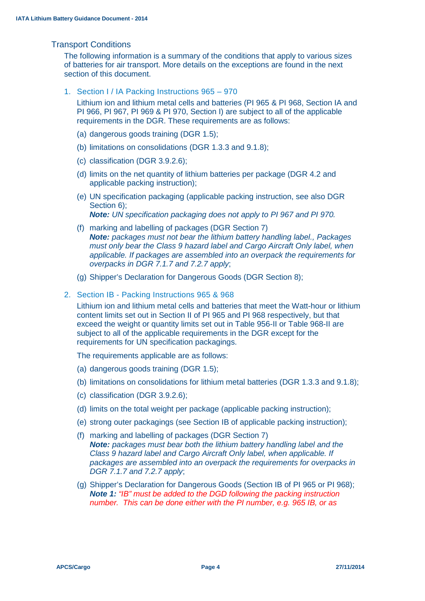#### Transport Conditions

The following information is a summary of the conditions that apply to various sizes of batteries for air transport. More details on the exceptions are found in the next section of this document.

1. Section I / IA Packing Instructions 965 – 970

Lithium ion and lithium metal cells and batteries (PI 965 & PI 968, Section IA and PI 966, PI 967, PI 969 & PI 970, Section I) are subject to all of the applicable requirements in the DGR. These requirements are as follows:

- (a) dangerous goods training (DGR 1.5);
- (b) limitations on consolidations (DGR 1.3.3 and 9.1.8);
- (c) classification (DGR 3.9.2.6);
- (d) limits on the net quantity of lithium batteries per package (DGR 4.2 and applicable packing instruction);
- (e) UN specification packaging (applicable packing instruction, see also DGR Section 6);

*Note: UN specification packaging does not apply to PI 967 and PI 970.*

- (f) marking and labelling of packages (DGR Section 7) *Note: packages must not bear the lithium battery handling label., Packages must only bear the Class 9 hazard label and Cargo Aircraft Only label, when applicable. If packages are assembled into an overpack the requirements for overpacks in DGR 7.1.7 and 7.2.7 apply*;
- (g) Shipper's Declaration for Dangerous Goods (DGR Section 8);
- 2. Section IB Packing Instructions 965 & 968

Lithium ion and lithium metal cells and batteries that meet the Watt-hour or lithium content limits set out in Section II of PI 965 and PI 968 respectively, but that exceed the weight or quantity limits set out in Table 956-II or Table 968-II are subject to all of the applicable requirements in the DGR except for the requirements for UN specification packagings.

The requirements applicable are as follows:

- (a) dangerous goods training (DGR 1.5);
- (b) limitations on consolidations for lithium metal batteries (DGR 1.3.3 and 9.1.8);
- (c) classification (DGR 3.9.2.6);
- (d) limits on the total weight per package (applicable packing instruction);
- (e) strong outer packagings (see Section IB of applicable packing instruction);
- (f) marking and labelling of packages (DGR Section 7) *Note: packages must bear both the lithium battery handling label and the Class 9 hazard label and Cargo Aircraft Only label, when applicable. If packages are assembled into an overpack the requirements for overpacks in DGR 7.1.7 and 7.2.7 apply*;
- (g) Shipper's Declaration for Dangerous Goods (Section IB of PI 965 or PI 968); *Note 1: "IB" must be added to the DGD following the packing instruction number. This can be done either with the PI number, e.g. 965 IB, or as*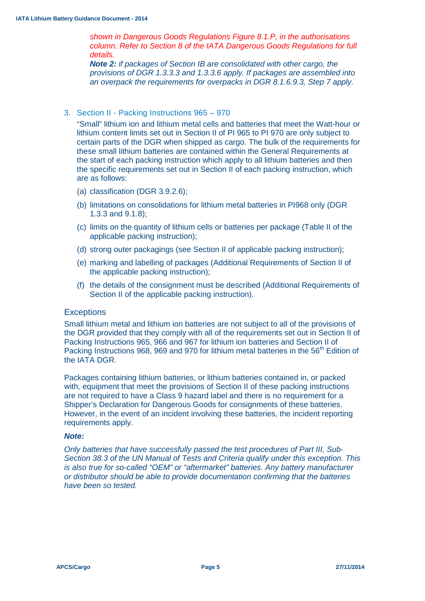*shown in Dangerous Goods Regulations Figure 8.1.P, in the authorisations column. Refer to Section 8 of the IATA Dangerous Goods Regulations for full details.*

*Note 2: if packages of Section IB are consolidated with other cargo, the provisions of DGR 1.3.3.3 and 1.3.3.6 apply. If packages are assembled into an overpack the requirements for overpacks in DGR 8.1.6.9.3, Step 7 apply.*

3. Section II - Packing Instructions 965 – 970

"Small" lithium ion and lithium metal cells and batteries that meet the Watt-hour or lithium content limits set out in Section II of PI 965 to PI 970 are only subject to certain parts of the DGR when shipped as cargo. The bulk of the requirements for these small lithium batteries are contained within the General Requirements at the start of each packing instruction which apply to all lithium batteries and then the specific requirements set out in Section II of each packing instruction, which are as follows:

- (a) classification (DGR 3.9.2.6);
- (b) limitations on consolidations for lithium metal batteries in PI968 only (DGR 1.3.3 and 9.1.8);
- (c) limits on the quantity of lithium cells or batteries per package (Table II of the applicable packing instruction);
- (d) strong outer packagings (see Section II of applicable packing instruction);
- (e) marking and labelling of packages (Additional Requirements of Section II of the applicable packing instruction);
- (f) the details of the consignment must be described (Additional Requirements of Section II of the applicable packing instruction)*.*

#### **Exceptions**

Small lithium metal and lithium ion batteries are not subject to all of the provisions of the DGR provided that they comply with all of the requirements set out in Section II of Packing Instructions 965, 966 and 967 for lithium ion batteries and Section II of Packing Instructions 968, 969 and 970 for lithium metal batteries in the 56<sup>th</sup> Edition of the IATA DGR.

Packages containing lithium batteries, or lithium batteries contained in, or packed with, equipment that meet the provisions of Section II of these packing instructions are not required to have a Class 9 hazard label and there is no requirement for a Shipper's Declaration for Dangerous Goods for consignments of these batteries. However, in the event of an incident involving these batteries, the incident reporting requirements apply.

#### *Note:*

*Only batteries that have successfully passed the test procedures of Part III, Sub-Section 38.3 of the UN Manual of Tests and Criteria qualify under this exception. This is also true for so-called "OEM" or "aftermarket" batteries. Any battery manufacturer or distributor should be able to provide documentation confirming that the batteries have been so tested.*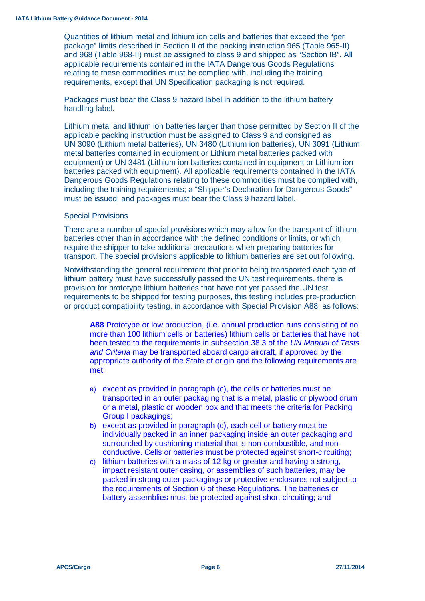Quantities of lithium metal and lithium ion cells and batteries that exceed the "per package" limits described in Section II of the packing instruction 965 (Table 965-II) and 968 (Table 968-II) must be assigned to class 9 and shipped as "Section IB". All applicable requirements contained in the IATA Dangerous Goods Regulations relating to these commodities must be complied with, including the training requirements, except that UN Specification packaging is not required.

Packages must bear the Class 9 hazard label in addition to the lithium battery handling label.

Lithium metal and lithium ion batteries larger than those permitted by Section II of the applicable packing instruction must be assigned to Class 9 and consigned as UN 3090 (Lithium metal batteries), UN 3480 (Lithium ion batteries), UN 3091 (Lithium metal batteries contained in equipment or Lithium metal batteries packed with equipment) or UN 3481 (Lithium ion batteries contained in equipment or Lithium ion batteries packed with equipment). All applicable requirements contained in the IATA Dangerous Goods Regulations relating to these commodities must be complied with, including the training requirements; a "Shipper's Declaration for Dangerous Goods" must be issued, and packages must bear the Class 9 hazard label.

#### Special Provisions

There are a number of special provisions which may allow for the transport of lithium batteries other than in accordance with the defined conditions or limits, or which require the shipper to take additional precautions when preparing batteries for transport. The special provisions applicable to lithium batteries are set out following.

Notwithstanding the general requirement that prior to being transported each type of lithium battery must have successfully passed the UN test requirements, there is provision for prototype lithium batteries that have not yet passed the UN test requirements to be shipped for testing purposes, this testing includes pre-production or product compatibility testing, in accordance with Special Provision A88, as follows:

**A88** Prototype or low production, (i.e. annual production runs consisting of no more than 100 lithium cells or batteries) lithium cells or batteries that have not been tested to the requirements in subsection 38.3 of the *UN Manual of Tests and Criteria* may be transported aboard cargo aircraft, if approved by the appropriate authority of the State of origin and the following requirements are met:

- a) except as provided in paragraph (c), the cells or batteries must be transported in an outer packaging that is a metal, plastic or plywood drum or a metal, plastic or wooden box and that meets the criteria for Packing Group I packagings;
- b) except as provided in paragraph (c), each cell or battery must be individually packed in an inner packaging inside an outer packaging and surrounded by cushioning material that is non-combustible, and nonconductive. Cells or batteries must be protected against short-circuiting;
- c) lithium batteries with a mass of 12 kg or greater and having a strong, impact resistant outer casing, or assemblies of such batteries, may be packed in strong outer packagings or protective enclosures not subject to the requirements of Section 6 of these Regulations. The batteries or battery assemblies must be protected against short circuiting; and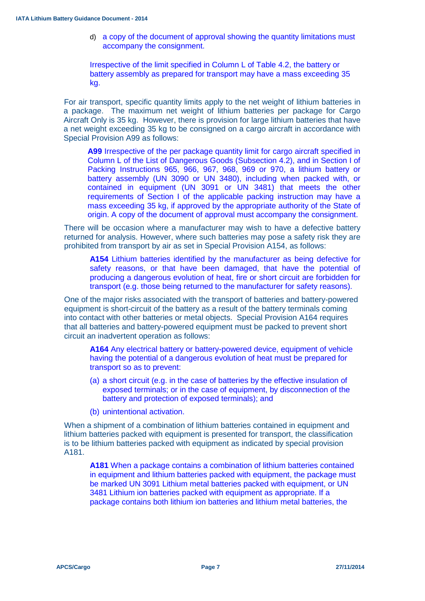d) a copy of the document of approval showing the quantity limitations must accompany the consignment.

Irrespective of the limit specified in Column L of Table 4.2, the battery or battery assembly as prepared for transport may have a mass exceeding 35 kg.

For air transport, specific quantity limits apply to the net weight of lithium batteries in a package. The maximum net weight of lithium batteries per package for Cargo Aircraft Only is 35 kg. However, there is provision for large lithium batteries that have a net weight exceeding 35 kg to be consigned on a cargo aircraft in accordance with Special Provision A99 as follows:

**A99** Irrespective of the per package quantity limit for cargo aircraft specified in Column L of the List of Dangerous Goods (Subsection 4.2), and in Section I of Packing Instructions 965, 966, 967, 968, 969 or 970, a lithium battery or battery assembly (UN 3090 or UN 3480), including when packed with, or contained in equipment (UN 3091 or UN 3481) that meets the other requirements of Section I of the applicable packing instruction may have a mass exceeding 35 kg, if approved by the appropriate authority of the State of origin. A copy of the document of approval must accompany the consignment.

There will be occasion where a manufacturer may wish to have a defective battery returned for analysis. However, where such batteries may pose a safety risk they are prohibited from transport by air as set in Special Provision A154, as follows:

**A154** Lithium batteries identified by the manufacturer as being defective for safety reasons, or that have been damaged, that have the potential of producing a dangerous evolution of heat, fire or short circuit are forbidden for transport (e.g. those being returned to the manufacturer for safety reasons).

One of the major risks associated with the transport of batteries and battery-powered equipment is short-circuit of the battery as a result of the battery terminals coming into contact with other batteries or metal objects. Special Provision A164 requires that all batteries and battery-powered equipment must be packed to prevent short circuit an inadvertent operation as follows:

**A164** Any electrical battery or battery-powered device, equipment of vehicle having the potential of a dangerous evolution of heat must be prepared for transport so as to prevent:

- (a) a short circuit (e.g. in the case of batteries by the effective insulation of exposed terminals; or in the case of equipment, by disconnection of the battery and protection of exposed terminals); and
- (b) unintentional activation.

When a shipment of a combination of lithium batteries contained in equipment and lithium batteries packed with equipment is presented for transport, the classification is to be lithium batteries packed with equipment as indicated by special provision A181.

**A181** When a package contains a combination of lithium batteries contained in equipment and lithium batteries packed with equipment, the package must be marked UN 3091 Lithium metal batteries packed with equipment, or UN 3481 Lithium ion batteries packed with equipment as appropriate. If a package contains both lithium ion batteries and lithium metal batteries, the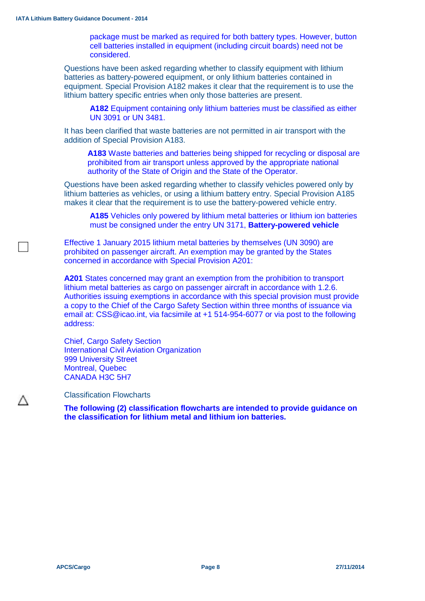package must be marked as required for both battery types. However, button cell batteries installed in equipment (including circuit boards) need not be considered.

Questions have been asked regarding whether to classify equipment with lithium batteries as battery-powered equipment, or only lithium batteries contained in equipment. Special Provision A182 makes it clear that the requirement is to use the lithium battery specific entries when only those batteries are present.

**A182** Equipment containing only lithium batteries must be classified as either UN 3091 or UN 3481.

It has been clarified that waste batteries are not permitted in air transport with the addition of Special Provision A183.

**A183** Waste batteries and batteries being shipped for recycling or disposal are prohibited from air transport unless approved by the appropriate national authority of the State of Origin and the State of the Operator.

Questions have been asked regarding whether to classify vehicles powered only by lithium batteries as vehicles, or using a lithium battery entry. Special Provision A185 makes it clear that the requirement is to use the battery-powered vehicle entry.

**A185** Vehicles only powered by lithium metal batteries or lithium ion batteries must be consigned under the entry UN 3171, **Battery-powered vehicle**

Effective 1 January 2015 lithium metal batteries by themselves (UN 3090) are prohibited on passenger aircraft. An exemption may be granted by the States concerned in accordance with Special Provision A201:

**A201** States concerned may grant an exemption from the prohibition to transport lithium metal batteries as cargo on passenger aircraft in accordance with 1.2.6. Authorities issuing exemptions in accordance with this special provision must provide a copy to the Chief of the Cargo Safety Section within three months of issuance via email at: CSS@icao.int, via facsimile at +1 514-954-6077 or via post to the following address:

Chief, Cargo Safety Section International Civil Aviation Organization 999 University Street Montreal, Quebec CANADA H3C 5H7

Classification Flowcharts

**The following (2) classification flowcharts are intended to provide guidance on the classification for lithium metal and lithium ion batteries.**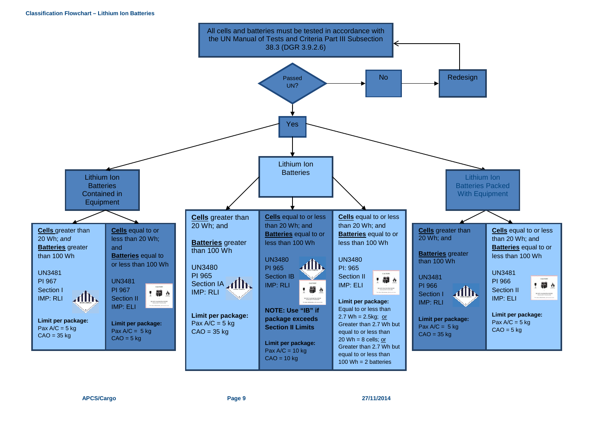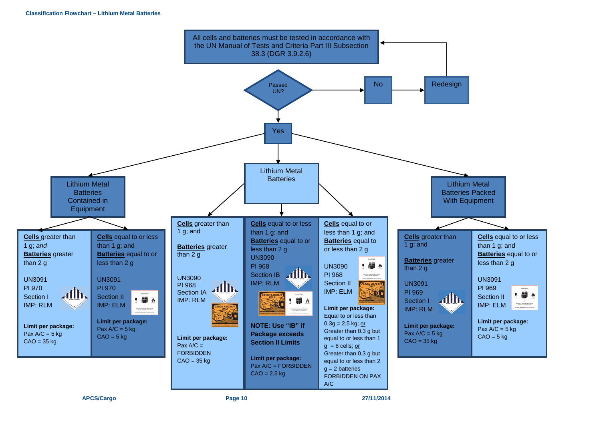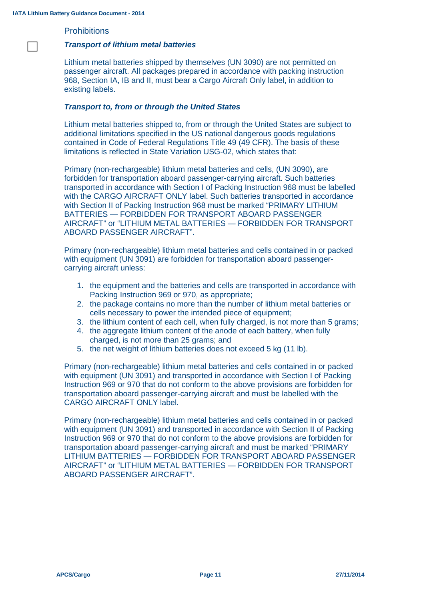#### **Prohibitions**

#### *Transport of lithium metal batteries*

Lithium metal batteries shipped by themselves (UN 3090) are not permitted on passenger aircraft. All packages prepared in accordance with packing instruction 968, Section IA, IB and II, must bear a Cargo Aircraft Only label, in addition to existing labels.

#### *Transport to, from or through the United States*

Lithium metal batteries shipped to, from or through the United States are subject to additional limitations specified in the US national dangerous goods regulations contained in Code of Federal Regulations Title 49 (49 CFR). The basis of these limitations is reflected in State Variation USG-02, which states that:

Primary (non-rechargeable) lithium metal batteries and cells, (UN 3090), are forbidden for transportation aboard passenger-carrying aircraft. Such batteries transported in accordance with Section I of Packing Instruction 968 must be labelled with the CARGO AIRCRAFT ONLY label. Such batteries transported in accordance with Section II of Packing Instruction 968 must be marked "PRIMARY LITHIUM BATTERIES — FORBIDDEN FOR TRANSPORT ABOARD PASSENGER AIRCRAFT" or "LITHIUM METAL BATTERIES — FORBIDDEN FOR TRANSPORT ABOARD PASSENGER AIRCRAFT".

Primary (non-rechargeable) lithium metal batteries and cells contained in or packed with equipment (UN 3091) are forbidden for transportation aboard passengercarrying aircraft unless:

- 1. the equipment and the batteries and cells are transported in accordance with Packing Instruction 969 or 970, as appropriate;
- 2. the package contains no more than the number of lithium metal batteries or cells necessary to power the intended piece of equipment;
- 3. the lithium content of each cell, when fully charged, is not more than 5 grams;
- 4. the aggregate lithium content of the anode of each battery, when fully charged, is not more than 25 grams; and
- 5. the net weight of lithium batteries does not exceed 5 kg (11 lb).

Primary (non-rechargeable) lithium metal batteries and cells contained in or packed with equipment (UN 3091) and transported in accordance with Section I of Packing Instruction 969 or 970 that do not conform to the above provisions are forbidden for transportation aboard passenger-carrying aircraft and must be labelled with the CARGO AIRCRAFT ONLY label.

Primary (non-rechargeable) lithium metal batteries and cells contained in or packed with equipment (UN 3091) and transported in accordance with Section II of Packing Instruction 969 or 970 that do not conform to the above provisions are forbidden for transportation aboard passenger-carrying aircraft and must be marked "PRIMARY LITHIUM BATTERIES — FORBIDDEN FOR TRANSPORT ABOARD PASSENGER AIRCRAFT" or "LITHIUM METAL BATTERIES — FORBIDDEN FOR TRANSPORT ABOARD PASSENGER AIRCRAFT".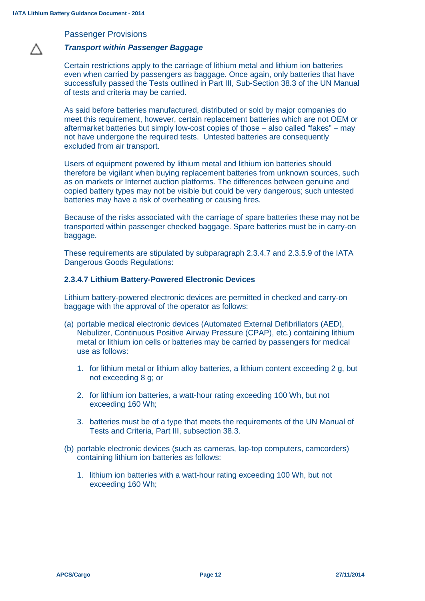#### Passenger Provisions

#### *Transport within Passenger Baggage*

Certain restrictions apply to the carriage of lithium metal and lithium ion batteries even when carried by passengers as baggage. Once again, only batteries that have successfully passed the Tests outlined in Part III, Sub-Section 38.3 of the UN Manual of tests and criteria may be carried.

As said before batteries manufactured, distributed or sold by major companies do meet this requirement, however, certain replacement batteries which are not OEM or aftermarket batteries but simply low-cost copies of those – also called "fakes" – may not have undergone the required tests. Untested batteries are consequently excluded from air transport.

Users of equipment powered by lithium metal and lithium ion batteries should therefore be vigilant when buying replacement batteries from unknown sources, such as on markets or Internet auction platforms. The differences between genuine and copied battery types may not be visible but could be very dangerous; such untested batteries may have a risk of overheating or causing fires.

Because of the risks associated with the carriage of spare batteries these may not be transported within passenger checked baggage. Spare batteries must be in carry-on baggage.

These requirements are stipulated by subparagraph 2.3.4.7 and 2.3.5.9 of the IATA Dangerous Goods Regulations:

#### **2.3.4.7 Lithium Battery-Powered Electronic Devices**

Lithium battery-powered electronic devices are permitted in checked and carry-on baggage with the approval of the operator as follows:

- (a) portable medical electronic devices (Automated External Defibrillators (AED), Nebulizer, Continuous Positive Airway Pressure (CPAP), etc.) containing lithium metal or lithium ion cells or batteries may be carried by passengers for medical use as follows:
	- 1. for lithium metal or lithium alloy batteries, a lithium content exceeding 2 g, but not exceeding 8 g; or
	- 2. for lithium ion batteries, a watt-hour rating exceeding 100 Wh, but not exceeding 160 Wh;
	- 3. batteries must be of a type that meets the requirements of the UN Manual of Tests and Criteria, Part III, subsection 38.3.
- (b) portable electronic devices (such as cameras, lap-top computers, camcorders) containing lithium ion batteries as follows:
	- 1. lithium ion batteries with a watt-hour rating exceeding 100 Wh, but not exceeding 160 Wh;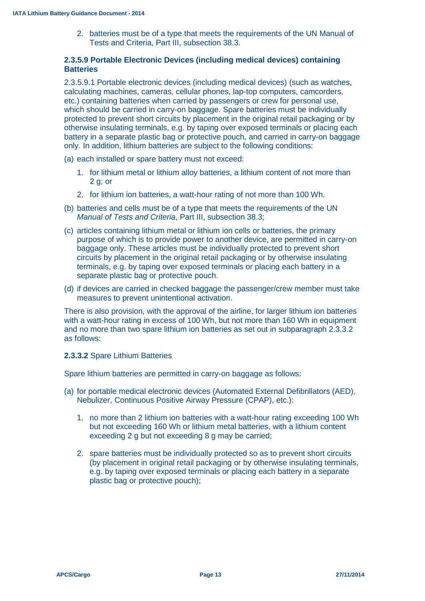2. batteries must be of a type that meets the requirements of the UN Manual of Tests and Criteria, Part III, subsection 38.3.

#### **2.3.5.9 Portable Electronic Devices (including medical devices) containing Batteries**

2.3.5.9.1 Portable electronic devices (including medical devices) (such as watches, calculating machines, cameras, cellular phones, lap-top computers, camcorders, etc.) containing batteries when carried by passengers or crew for personal use, which should be carried in carry-on baggage. Spare batteries must be individually protected to prevent short circuits by placement in the original retail packaging or by otherwise insulating terminals, e.g. by taping over exposed terminals or placing each battery in a separate plastic bag or protective pouch, and carried in carry-on baggage only. In addition, lithium batteries are subject to the following conditions:

- (a) each installed or spare battery must not exceed:
	- 1. for lithium metal or lithium alloy batteries, a lithium content of not more than 2 g; or
	- 2. for lithium ion batteries, a watt-hour rating of not more than 100 Wh.
- (b) batteries and cells must be of a type that meets the requirements of the UN *Manual of Tests and Criteria*, Part III, subsection 38.3;
- (c) articles containing lithium metal or lithium ion cells or batteries, the primary purpose of which is to provide power to another device, are permitted in carry-on baggage only. These articles must be individually protected to prevent short circuits by placement in the original retail packaging or by otherwise insulating terminals, e.g. by taping over exposed terminals or placing each battery in a separate plastic bag or protective pouch.
- (d) if devices are carried in checked baggage the passenger/crew member must take measures to prevent unintentional activation.

There is also provision, with the approval of the airline, for larger lithium ion batteries with a watt-hour rating in excess of 100 Wh, but not more than 160 Wh in equipment and no more than two spare lithium ion batteries as set out in subparagraph 2.3.3.2 as follows:

#### **2.3.3.2** Spare Lithium Batteries

Spare lithium batteries are permitted in carry-on baggage as follows:

- (a) for portable medical electronic devices (Automated External Defibrillators (AED), Nebulizer, Continuous Positive Airway Pressure (CPAP), etc.):
	- 1. no more than 2 lithium ion batteries with a watt-hour rating exceeding 100 Wh but not exceeding 160 Wh or lithium metal batteries, with a lithium content exceeding 2 g but not exceeding 8 g may be carried;
	- 2. spare batteries must be individually protected so as to prevent short circuits (by placement in original retail packaging or by otherwise insulating terminals, e.g. by taping over exposed terminals or placing each battery in a separate plastic bag or protective pouch);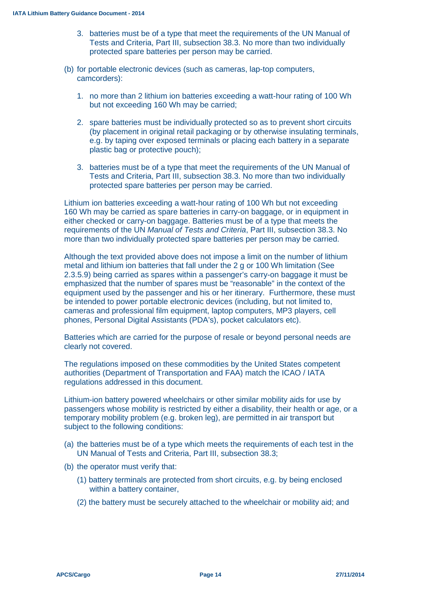- 3. batteries must be of a type that meet the requirements of the UN Manual of Tests and Criteria, Part III, subsection 38.3. No more than two individually protected spare batteries per person may be carried.
- (b) for portable electronic devices (such as cameras, lap-top computers, camcorders):
	- 1. no more than 2 lithium ion batteries exceeding a watt-hour rating of 100 Wh but not exceeding 160 Wh may be carried;
	- 2. spare batteries must be individually protected so as to prevent short circuits (by placement in original retail packaging or by otherwise insulating terminals, e.g. by taping over exposed terminals or placing each battery in a separate plastic bag or protective pouch);
	- 3. batteries must be of a type that meet the requirements of the UN Manual of Tests and Criteria, Part III, subsection 38.3. No more than two individually protected spare batteries per person may be carried.

Lithium ion batteries exceeding a watt-hour rating of 100 Wh but not exceeding 160 Wh may be carried as spare batteries in carry-on baggage, or in equipment in either checked or carry-on baggage. Batteries must be of a type that meets the requirements of the UN *Manual of Tests and Criteria*, Part III, subsection 38.3. No more than two individually protected spare batteries per person may be carried.

Although the text provided above does not impose a limit on the number of lithium metal and lithium ion batteries that fall under the 2 g or 100 Wh limitation (See 2.3.5.9) being carried as spares within a passenger's carry-on baggage it must be emphasized that the number of spares must be "reasonable" in the context of the equipment used by the passenger and his or her itinerary. Furthermore, these must be intended to power portable electronic devices (including, but not limited to, cameras and professional film equipment, laptop computers, MP3 players, cell phones, Personal Digital Assistants (PDA's), pocket calculators etc).

Batteries which are carried for the purpose of resale or beyond personal needs are clearly not covered.

The regulations imposed on these commodities by the United States competent authorities (Department of Transportation and FAA) match the ICAO / IATA regulations addressed in this document.

Lithium-ion battery powered wheelchairs or other similar mobility aids for use by passengers whose mobility is restricted by either a disability, their health or age, or a temporary mobility problem (e.g. broken leg), are permitted in air transport but subject to the following conditions:

- (a) the batteries must be of a type which meets the requirements of each test in the UN Manual of Tests and Criteria, Part III, subsection 38.3;
- (b) the operator must verify that:
	- (1) battery terminals are protected from short circuits, e.g. by being enclosed within a battery container,
	- (2) the battery must be securely attached to the wheelchair or mobility aid; and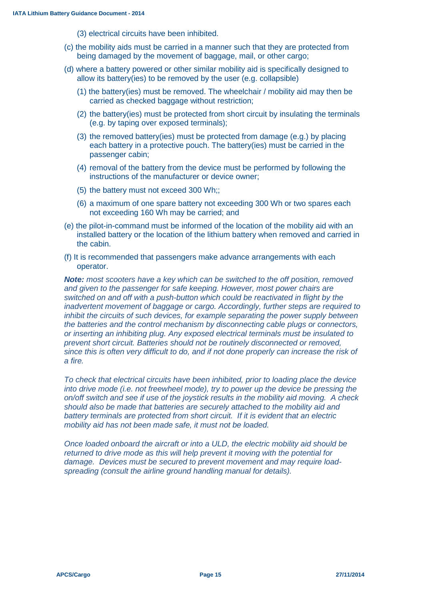(3) electrical circuits have been inhibited.

- (c) the mobility aids must be carried in a manner such that they are protected from being damaged by the movement of baggage, mail, or other cargo;
- (d) where a battery powered or other similar mobility aid is specifically designed to allow its battery(ies) to be removed by the user (e.g. collapsible)
	- (1) the battery(ies) must be removed. The wheelchair / mobility aid may then be carried as checked baggage without restriction;
	- (2) the battery(ies) must be protected from short circuit by insulating the terminals (e.g. by taping over exposed terminals);
	- (3) the removed battery(ies) must be protected from damage (e.g.) by placing each battery in a protective pouch. The battery(ies) must be carried in the passenger cabin;
	- (4) removal of the battery from the device must be performed by following the instructions of the manufacturer or device owner;
	- (5) the battery must not exceed 300 Wh;;
	- (6) a maximum of one spare battery not exceeding 300 Wh or two spares each not exceeding 160 Wh may be carried; and
- (e) the pilot-in-command must be informed of the location of the mobility aid with an installed battery or the location of the lithium battery when removed and carried in the cabin.
- (f) It is recommended that passengers make advance arrangements with each operator.

*Note: most scooters have a key which can be switched to the off position, removed and given to the passenger for safe keeping. However, most power chairs are switched on and off with a push-button which could be reactivated in flight by the inadvertent movement of baggage or cargo. Accordingly, further steps are required to inhibit the circuits of such devices, for example separating the power supply between the batteries and the control mechanism by disconnecting cable plugs or connectors, or inserting an inhibiting plug. Any exposed electrical terminals must be insulated to prevent short circuit. Batteries should not be routinely disconnected or removed, since this is often very difficult to do, and if not done properly can increase the risk of a fire.*

*To check that electrical circuits have been inhibited, prior to loading place the device into drive mode (i.e. not freewheel mode), try to power up the device be pressing the on/off switch and see if use of the joystick results in the mobility aid moving. A check should also be made that batteries are securely attached to the mobility aid and battery terminals are protected from short circuit. If it is evident that an electric mobility aid has not been made safe, it must not be loaded.*

*Once loaded onboard the aircraft or into a ULD, the electric mobility aid should be returned to drive mode as this will help prevent it moving with the potential for damage. Devices must be secured to prevent movement and may require loadspreading (consult the airline ground handling manual for details).*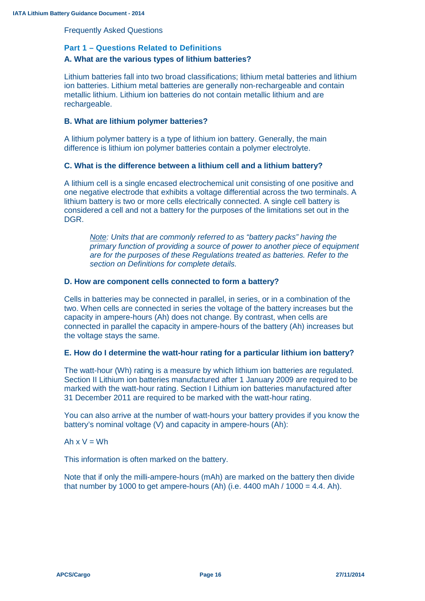Frequently Asked Questions

#### **Part 1 – Questions Related to Definitions**

#### **A. What are the various types of lithium batteries?**

Lithium batteries fall into two broad classifications; lithium metal batteries and lithium ion batteries. Lithium metal batteries are generally non-rechargeable and contain metallic lithium. Lithium ion batteries do not contain metallic lithium and are rechargeable.

#### **B. What are lithium polymer batteries?**

A lithium polymer battery is a type of lithium ion battery. Generally, the main difference is lithium ion polymer batteries contain a polymer electrolyte.

#### **C. What is the difference between a lithium cell and a lithium battery?**

A lithium cell is a single encased electrochemical unit consisting of one positive and one negative electrode that exhibits a voltage differential across the two terminals. A lithium battery is two or more cells electrically connected. A single cell battery is considered a cell and not a battery for the purposes of the limitations set out in the DGR.

*Note: Units that are commonly referred to as "battery packs" having the primary function of providing a source of power to another piece of equipment are for the purposes of these Regulations treated as batteries. Refer to the section on Definitions for complete details.*

#### **D. How are component cells connected to form a battery?**

Cells in batteries may be connected in parallel, in series, or in a combination of the two. When cells are connected in series the voltage of the battery increases but the capacity in ampere-hours (Ah) does not change. By contrast, when cells are connected in parallel the capacity in ampere-hours of the battery (Ah) increases but the voltage stays the same.

#### **E. How do I determine the watt-hour rating for a particular lithium ion battery?**

The watt-hour (Wh) rating is a measure by which lithium ion batteries are regulated. Section II Lithium ion batteries manufactured after 1 January 2009 are required to be marked with the watt-hour rating. Section I Lithium ion batteries manufactured after 31 December 2011 are required to be marked with the watt-hour rating.

You can also arrive at the number of watt-hours your battery provides if you know the battery's nominal voltage (V) and capacity in ampere-hours (Ah):

#### Ah  $x V = Wh$

This information is often marked on the battery.

Note that if only the milli-ampere-hours (mAh) are marked on the battery then divide that number by 1000 to get ampere-hours (Ah) (i.e.  $4400$  mAh / 1000 = 4.4. Ah).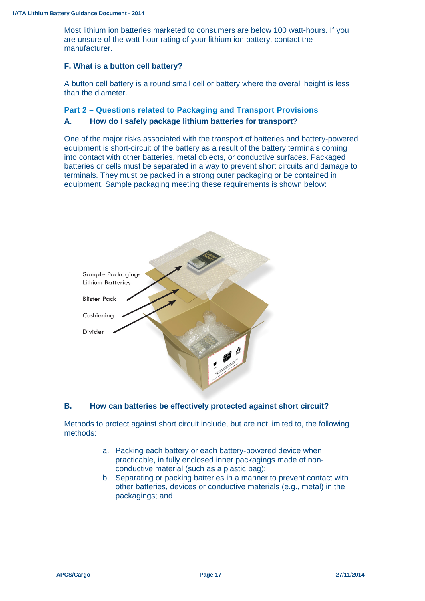Most lithium ion batteries marketed to consumers are below 100 watt-hours. If you are unsure of the watt-hour rating of your lithium ion battery, contact the manufacturer.

#### **F. What is a button cell battery?**

A button cell battery is a round small cell or battery where the overall height is less than the diameter.

#### **Part 2 – Questions related to Packaging and Transport Provisions**

#### **A. How do I safely package lithium batteries for transport?**

One of the major risks associated with the transport of batteries and battery-powered equipment is short-circuit of the battery as a result of the battery terminals coming into contact with other batteries, metal objects, or conductive surfaces. Packaged batteries or cells must be separated in a way to prevent short circuits and damage to terminals. They must be packed in a strong outer packaging or be contained in equipment. Sample packaging meeting these requirements is shown below:



#### **B. How can batteries be effectively protected against short circuit?**

Methods to protect against short circuit include, but are not limited to, the following methods:

- a. Packing each battery or each battery-powered device when practicable, in fully enclosed inner packagings made of nonconductive material (such as a plastic bag);
- b. Separating or packing batteries in a manner to prevent contact with other batteries, devices or conductive materials (e.g., metal) in the packagings; and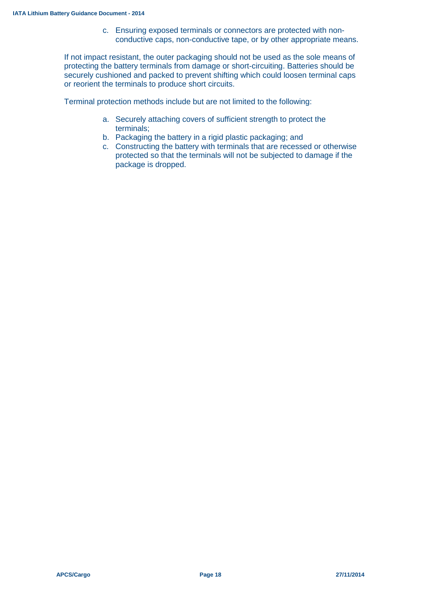c. Ensuring exposed terminals or connectors are protected with nonconductive caps, non-conductive tape, or by other appropriate means.

If not impact resistant, the outer packaging should not be used as the sole means of protecting the battery terminals from damage or short-circuiting. Batteries should be securely cushioned and packed to prevent shifting which could loosen terminal caps or reorient the terminals to produce short circuits.

Terminal protection methods include but are not limited to the following:

- a. Securely attaching covers of sufficient strength to protect the terminals;
- b. Packaging the battery in a rigid plastic packaging; and
- c. Constructing the battery with terminals that are recessed or otherwise protected so that the terminals will not be subjected to damage if the package is dropped.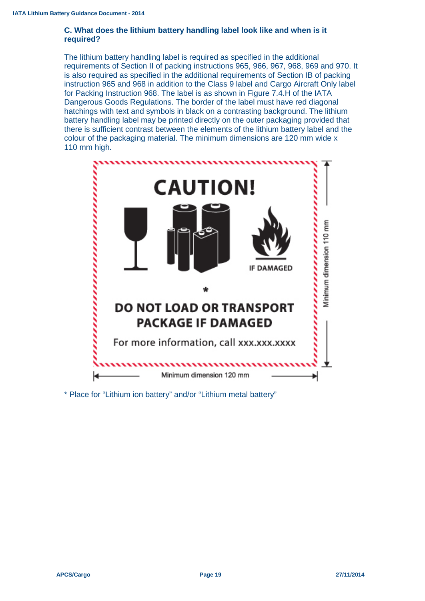#### **C. What does the lithium battery handling label look like and when is it required?**

The lithium battery handling label is required as specified in the additional requirements of Section II of packing instructions 965, 966, 967, 968, 969 and 970. It is also required as specified in the additional requirements of Section IB of packing instruction 965 and 968 in addition to the Class 9 label and Cargo Aircraft Only label for Packing Instruction 968. The label is as shown in Figure 7.4.H of the IATA Dangerous Goods Regulations. The border of the label must have red diagonal hatchings with text and symbols in black on a contrasting background. The lithium battery handling label may be printed directly on the outer packaging provided that there is sufficient contrast between the elements of the lithium battery label and the colour of the packaging material. The minimum dimensions are 120 mm wide x 110 mm high.



\* Place for "Lithium ion battery" and/or "Lithium metal battery"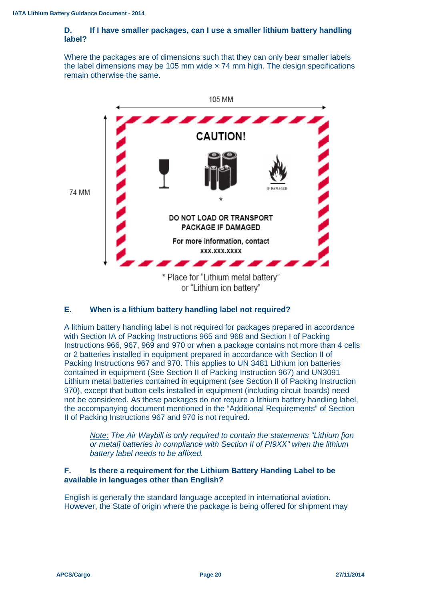#### **D. If I have smaller packages, can I use a smaller lithium battery handling label?**

Where the packages are of dimensions such that they can only bear smaller labels the label dimensions may be 105 mm wide  $\times$  74 mm high. The design specifications remain otherwise the same.



#### **E. When is a lithium battery handling label not required?**

A lithium battery handling label is not required for packages prepared in accordance with Section IA of Packing Instructions 965 and 968 and Section I of Packing Instructions 966, 967, 969 and 970 or when a package contains not more than 4 cells or 2 batteries installed in equipment prepared in accordance with Section II of Packing Instructions 967 and 970. This applies to UN 3481 Lithium ion batteries contained in equipment (See Section II of Packing Instruction 967) and UN3091 Lithium metal batteries contained in equipment (see Section II of Packing Instruction 970), except that button cells installed in equipment (including circuit boards) need not be considered. As these packages do not require a lithium battery handling label, the accompanying document mentioned in the "Additional Requirements" of Section II of Packing Instructions 967 and 970 is not required.

*Note: The Air Waybill is only required to contain the statements "Lithium [ion or metal] batteries in compliance with Section II of PI9XX" when the lithium battery label needs to be affixed.*

#### **F. Is there a requirement for the Lithium Battery Handing Label to be available in languages other than English?**

English is generally the standard language accepted in international aviation. However, the State of origin where the package is being offered for shipment may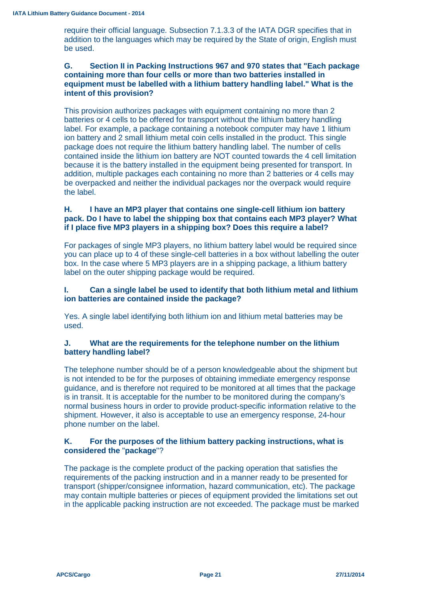require their official language. Subsection 7.1.3.3 of the IATA DGR specifies that in addition to the languages which may be required by the State of origin, English must be used.

#### **G. Section II in Packing Instructions 967 and 970 states that "Each package containing more than four cells or more than two batteries installed in equipment must be labelled with a lithium battery handling label." What is the intent of this provision?**

This provision authorizes packages with equipment containing no more than 2 batteries or 4 cells to be offered for transport without the lithium battery handling label. For example, a package containing a notebook computer may have 1 lithium ion battery and 2 small lithium metal coin cells installed in the product. This single package does not require the lithium battery handling label. The number of cells contained inside the lithium ion battery are NOT counted towards the 4 cell limitation because it is the battery installed in the equipment being presented for transport. In addition, multiple packages each containing no more than 2 batteries or 4 cells may be overpacked and neither the individual packages nor the overpack would require the label.

#### **H. I have an MP3 player that contains one single-cell lithium ion battery pack. Do I have to label the shipping box that contains each MP3 player? What if I place five MP3 players in a shipping box? Does this require a label?**

For packages of single MP3 players, no lithium battery label would be required since you can place up to 4 of these single-cell batteries in a box without labelling the outer box. In the case where 5 MP3 players are in a shipping package, a lithium battery label on the outer shipping package would be required.

#### **I. Can a single label be used to identify that both lithium metal and lithium ion batteries are contained inside the package?**

Yes. A single label identifying both lithium ion and lithium metal batteries may be used.

#### **J. What are the requirements for the telephone number on the lithium battery handling label?**

The telephone number should be of a person knowledgeable about the shipment but is not intended to be for the purposes of obtaining immediate emergency response guidance, and is therefore not required to be monitored at all times that the package is in transit. It is acceptable for the number to be monitored during the company's normal business hours in order to provide product-specific information relative to the shipment. However, it also is acceptable to use an emergency response, 24-hour phone number on the label.

#### **K. For the purposes of the lithium battery packing instructions, what is considered the** "**package**"?

The package is the complete product of the packing operation that satisfies the requirements of the packing instruction and in a manner ready to be presented for transport (shipper/consignee information, hazard communication, etc). The package may contain multiple batteries or pieces of equipment provided the limitations set out in the applicable packing instruction are not exceeded. The package must be marked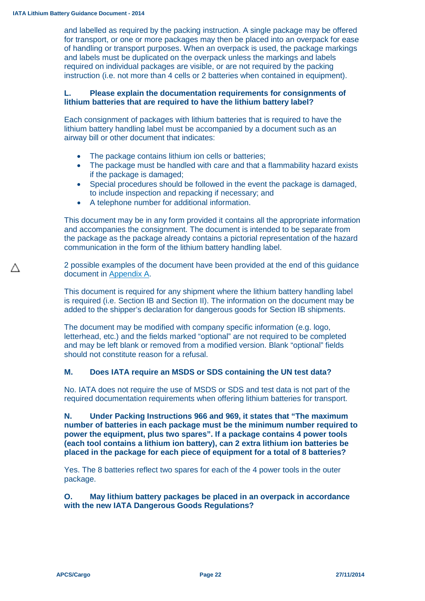Λ

and labelled as required by the packing instruction. A single package may be offered for transport, or one or more packages may then be placed into an overpack for ease of handling or transport purposes. When an overpack is used, the package markings and labels must be duplicated on the overpack unless the markings and labels required on individual packages are visible, or are not required by the packing instruction (i.e. not more than 4 cells or 2 batteries when contained in equipment).

#### **L. Please explain the documentation requirements for consignments of lithium batteries that are required to have the lithium battery label?**

Each consignment of packages with lithium batteries that is required to have the lithium battery handling label must be accompanied by a document such as an airway bill or other document that indicates:

- The package contains lithium ion cells or batteries:
- The package must be handled with care and that a flammability hazard exists if the package is damaged;
- Special procedures should be followed in the event the package is damaged, to include inspection and repacking if necessary; and
- A telephone number for additional information.

This document may be in any form provided it contains all the appropriate information and accompanies the consignment. The document is intended to be separate from the package as the package already contains a pictorial representation of the hazard communication in the form of the lithium battery handling label.

2 possible examples of the document have been provided at the end of this guidance document in Appendix A.

This document is required for any shipment where the lithium battery handling label is required (i.e. Section IB and Section II). The information on the document may be added to the shipper's declaration for dangerous goods for Section IB shipments.

The document may be modified with company specific information (e.g. logo, letterhead, etc.) and the fields marked "optional" are not required to be completed and may be left blank or removed from a modified version. Blank "optional" fields should not constitute reason for a refusal.

#### **M. Does IATA require an MSDS or SDS containing the UN test data?**

No. IATA does not require the use of MSDS or SDS and test data is not part of the required documentation requirements when offering lithium batteries for transport.

**N. Under Packing Instructions 966 and 969, it states that "The maximum number of batteries in each package must be the minimum number required to power the equipment, plus two spares". If a package contains 4 power tools (each tool contains a lithium ion battery), can 2 extra lithium ion batteries be placed in the package for each piece of equipment for a total of 8 batteries?**

Yes. The 8 batteries reflect two spares for each of the 4 power tools in the outer package.

**O. May lithium battery packages be placed in an overpack in accordance with the new IATA Dangerous Goods Regulations?**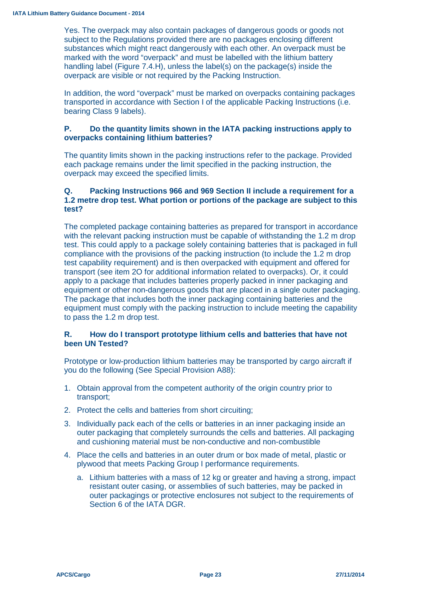Yes. The overpack may also contain packages of dangerous goods or goods not subject to the Regulations provided there are no packages enclosing different substances which might react dangerously with each other. An overpack must be marked with the word "overpack" and must be labelled with the lithium battery handling label (Figure 7.4.H), unless the label(s) on the package(s) inside the overpack are visible or not required by the Packing Instruction.

In addition, the word "overpack" must be marked on overpacks containing packages transported in accordance with Section I of the applicable Packing Instructions (i.e. bearing Class 9 labels).

#### **P. Do the quantity limits shown in the IATA packing instructions apply to overpacks containing lithium batteries?**

The quantity limits shown in the packing instructions refer to the package. Provided each package remains under the limit specified in the packing instruction, the overpack may exceed the specified limits.

#### **Q. Packing Instructions 966 and 969 Section II include a requirement for a 1.2 metre drop test. What portion or portions of the package are subject to this test?**

The completed package containing batteries as prepared for transport in accordance with the relevant packing instruction must be capable of withstanding the 1.2 m drop test. This could apply to a package solely containing batteries that is packaged in full compliance with the provisions of the packing instruction (to include the 1.2 m drop test capability requirement) and is then overpacked with equipment and offered for transport (see item 2O for additional information related to overpacks). Or, it could apply to a package that includes batteries properly packed in inner packaging and equipment or other non-dangerous goods that are placed in a single outer packaging. The package that includes both the inner packaging containing batteries and the equipment must comply with the packing instruction to include meeting the capability to pass the 1.2 m drop test.

#### **R. How do I transport prototype lithium cells and batteries that have not been UN Tested?**

Prototype or low-production lithium batteries may be transported by cargo aircraft if you do the following (See Special Provision A88):

- 1. Obtain approval from the competent authority of the origin country prior to transport;
- 2. Protect the cells and batteries from short circuiting;
- 3. Individually pack each of the cells or batteries in an inner packaging inside an outer packaging that completely surrounds the cells and batteries. All packaging and cushioning material must be non-conductive and non-combustible
- 4. Place the cells and batteries in an outer drum or box made of metal, plastic or plywood that meets Packing Group I performance requirements.
	- a. Lithium batteries with a mass of 12 kg or greater and having a strong, impact resistant outer casing, or assemblies of such batteries, may be packed in outer packagings or protective enclosures not subject to the requirements of Section 6 of the IATA DGR.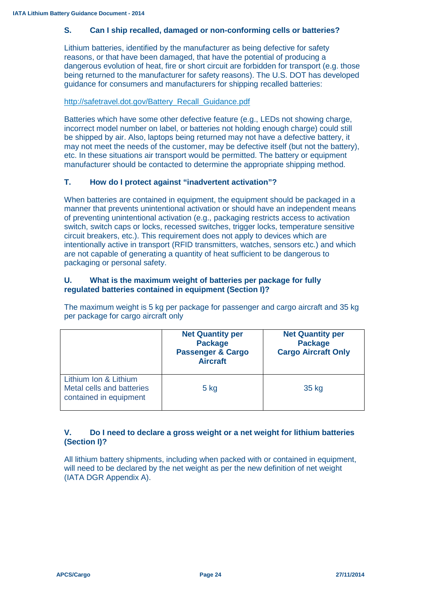#### **S. Can I ship recalled, damaged or non-conforming cells or batteries?**

Lithium batteries, identified by the manufacturer as being defective for safety reasons, or that have been damaged, that have the potential of producing a dangerous evolution of heat, fire or short circuit are forbidden for transport (e.g. those being returned to the manufacturer for safety reasons). The U.S. DOT has developed guidance for consumers and manufacturers for shipping recalled batteries:

#### [http://safetravel.dot.gov/Battery\\_Recall\\_Guidance.pdf](http://safetravel.dot.gov/Battery_Recall_Guidance.pdf)

Batteries which have some other defective feature (e.g., LEDs not showing charge, incorrect model number on label, or batteries not holding enough charge) could still be shipped by air. Also, laptops being returned may not have a defective battery, it may not meet the needs of the customer, may be defective itself (but not the battery), etc. In these situations air transport would be permitted. The battery or equipment manufacturer should be contacted to determine the appropriate shipping method.

#### **T. How do I protect against "inadvertent activation"?**

When batteries are contained in equipment, the equipment should be packaged in a manner that prevents unintentional activation or should have an independent means of preventing unintentional activation (e.g., packaging restricts access to activation switch, switch caps or locks, recessed switches, trigger locks, temperature sensitive circuit breakers, etc.). This requirement does not apply to devices which are intentionally active in transport (RFID transmitters, watches, sensors etc.) and which are not capable of generating a quantity of heat sufficient to be dangerous to packaging or personal safety.

#### **U. What is the maximum weight of batteries per package for fully regulated batteries contained in equipment (Section I)?**

The maximum weight is 5 kg per package for passenger and cargo aircraft and 35 kg per package for cargo aircraft only

|                                                                              | <b>Net Quantity per</b><br><b>Package</b><br><b>Passenger &amp; Cargo</b><br><b>Aircraft</b> | <b>Net Quantity per</b><br><b>Package</b><br><b>Cargo Aircraft Only</b> |
|------------------------------------------------------------------------------|----------------------------------------------------------------------------------------------|-------------------------------------------------------------------------|
| Lithium Ion & Lithium<br>Metal cells and batteries<br>contained in equipment | $5$ kg                                                                                       | 35 kg                                                                   |

#### **V. Do I need to declare a gross weight or a net weight for lithium batteries (Section I)?**

All lithium battery shipments, including when packed with or contained in equipment, will need to be declared by the net weight as per the new definition of net weight (IATA DGR Appendix A).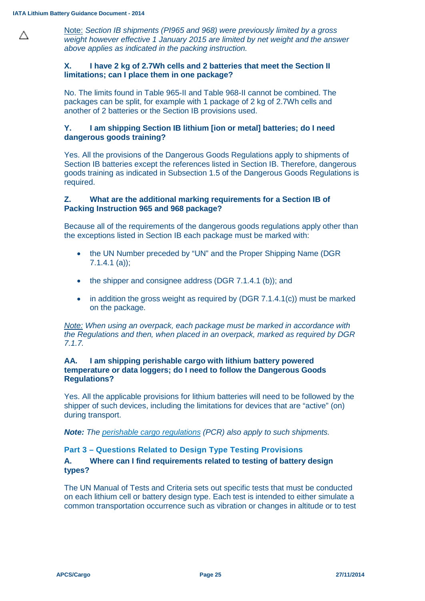Λ

Note: *Section IB shipments (PI965 and 968) were previously limited by a gross weight however effective 1 January 2015 are limited by net weight and the answer above applies as indicated in the packing instruction.*

#### **X. I have 2 kg of 2.7Wh cells and 2 batteries that meet the Section II limitations; can I place them in one package?**

No. The limits found in Table 965-II and Table 968-II cannot be combined. The packages can be split, for example with 1 package of 2 kg of 2.7Wh cells and another of 2 batteries or the Section IB provisions used.

#### **Y. I am shipping Section IB lithium [ion or metal] batteries; do I need dangerous goods training?**

Yes. All the provisions of the Dangerous Goods Regulations apply to shipments of Section IB batteries except the references listed in Section IB. Therefore, dangerous goods training as indicated in Subsection 1.5 of the Dangerous Goods Regulations is required.

#### **Z. What are the additional marking requirements for a Section IB of Packing Instruction 965 and 968 package?**

Because all of the requirements of the dangerous goods regulations apply other than the exceptions listed in Section IB each package must be marked with:

- the UN Number preceded by "UN" and the Proper Shipping Name (DGR 7.1.4.1 (a));
- the shipper and consignee address (DGR 7.1.4.1 (b)); and
- in addition the gross weight as required by (DGR 7.1.4.1(c)) must be marked on the package.

*Note: When using an overpack, each package must be marked in accordance with the Regulations and then, when placed in an overpack, marked as required by DGR 7.1.7.*

#### **AA. I am shipping perishable cargo with lithium battery powered temperature or data loggers; do I need to follow the Dangerous Goods Regulations?**

Yes. All the applicable provisions for lithium batteries will need to be followed by the shipper of such devices, including the limitations for devices that are "active" (on) during transport.

*Note: The [perishable cargo regulations](http://www.iata.org/pcr) (PCR) also apply to such shipments.*

#### **Part 3 – Questions Related to Design Type Testing Provisions**

#### **A. Where can I find requirements related to testing of battery design types?**

The UN Manual of Tests and Criteria sets out specific tests that must be conducted on each lithium cell or battery design type. Each test is intended to either simulate a common transportation occurrence such as vibration or changes in altitude or to test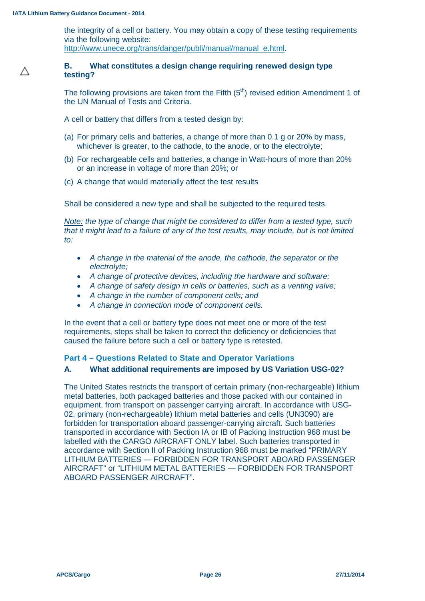Λ

the integrity of a cell or battery. You may obtain a copy of these testing requirements via the following website: [http://www.unece.org/trans/danger/publi/manual/manual\\_e.html.](http://www.unece.org/trans/danger/publi/manual/manual_e.html)

#### **B. What constitutes a design change requiring renewed design type testing?**

The following provisions are taken from the Fifth  $(5<sup>th</sup>)$  revised edition Amendment 1 of the UN Manual of Tests and Criteria.

A cell or battery that differs from a tested design by:

- (a) For primary cells and batteries, a change of more than 0.1 g or 20% by mass, whichever is greater, to the cathode, to the anode, or to the electrolyte;
- (b) For rechargeable cells and batteries, a change in Watt-hours of more than 20% or an increase in voltage of more than 20%; or
- (c) A change that would materially affect the test results

Shall be considered a new type and shall be subjected to the required tests.

*Note: the type of change that might be considered to differ from a tested type, such that it might lead to a failure of any of the test results, may include, but is not limited to:*

- *A change in the material of the anode, the cathode, the separator or the electrolyte;*
- *A change of protective devices, including the hardware and software;*
- *A change of safety design in cells or batteries, such as a venting valve;*
- *A change in the number of component cells; and*
- *A change in connection mode of component cells.*

In the event that a cell or battery type does not meet one or more of the test requirements, steps shall be taken to correct the deficiency or deficiencies that caused the failure before such a cell or battery type is retested.

#### **Part 4 – Questions Related to State and Operator Variations A. What additional requirements are imposed by US Variation USG-02?**

The United States restricts the transport of certain primary (non-rechargeable) lithium metal batteries, both packaged batteries and those packed with our contained in equipment, from transport on passenger carrying aircraft. In accordance with USG-02, primary (non-rechargeable) lithium metal batteries and cells (UN3090) are forbidden for transportation aboard passenger-carrying aircraft. Such batteries transported in accordance with Section IA or IB of Packing Instruction 968 must be labelled with the CARGO AIRCRAFT ONLY label. Such batteries transported in accordance with Section II of Packing Instruction 968 must be marked "PRIMARY LITHIUM BATTERIES — FORBIDDEN FOR TRANSPORT ABOARD PASSENGER AIRCRAFT" or "LITHIUM METAL BATTERIES — FORBIDDEN FOR TRANSPORT ABOARD PASSENGER AIRCRAFT".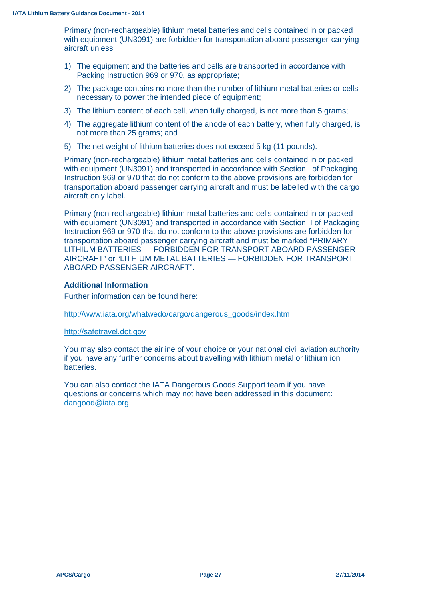Primary (non-rechargeable) lithium metal batteries and cells contained in or packed with equipment (UN3091) are forbidden for transportation aboard passenger-carrying aircraft unless:

- 1) The equipment and the batteries and cells are transported in accordance with Packing Instruction 969 or 970, as appropriate;
- 2) The package contains no more than the number of lithium metal batteries or cells necessary to power the intended piece of equipment;
- 3) The lithium content of each cell, when fully charged, is not more than 5 grams;
- 4) The aggregate lithium content of the anode of each battery, when fully charged, is not more than 25 grams; and
- 5) The net weight of lithium batteries does not exceed 5 kg (11 pounds).

Primary (non-rechargeable) lithium metal batteries and cells contained in or packed with equipment (UN3091) and transported in accordance with Section I of Packaging Instruction 969 or 970 that do not conform to the above provisions are forbidden for transportation aboard passenger carrying aircraft and must be labelled with the cargo aircraft only label.

Primary (non-rechargeable) lithium metal batteries and cells contained in or packed with equipment (UN3091) and transported in accordance with Section II of Packaging Instruction 969 or 970 that do not conform to the above provisions are forbidden for transportation aboard passenger carrying aircraft and must be marked "PRIMARY LITHIUM BATTERIES — FORBIDDEN FOR TRANSPORT ABOARD PASSENGER AIRCRAFT" or "LITHIUM METAL BATTERIES — FORBIDDEN FOR TRANSPORT ABOARD PASSENGER AIRCRAFT".

#### **Additional Information**

Further information can be found here:

[http://www.iata.org/whatwedo/cargo/dangerous\\_goods/index.htm](http://www.iata.org/whatwedo/cargo/dangerous_goods/index.htm)

[http://safetravel.dot.gov](http://safetravel.dot.gov/)

You may also contact the airline of your choice or your national civil aviation authority if you have any further concerns about travelling with lithium metal or lithium ion batteries.

You can also contact the IATA Dangerous Goods Support team if you have questions or concerns which may not have been addressed in this document: [dangood@iata.org](mailto:dangood@iata.org)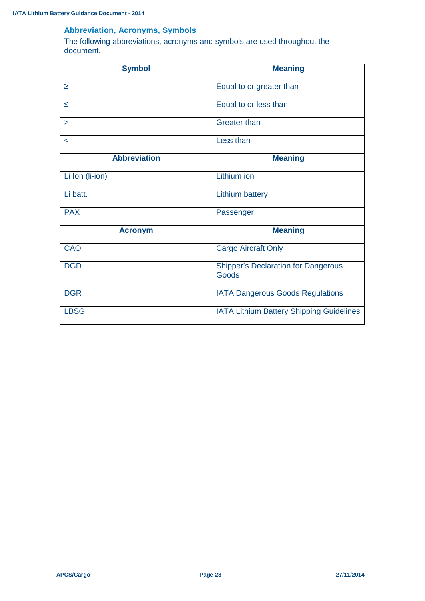### **Abbreviation, Acronyms, Symbols**

The following abbreviations, acronyms and symbols are used throughout the document.

| <b>Symbol</b>       | <b>Meaning</b>                                      |
|---------------------|-----------------------------------------------------|
| $\geq$              | Equal to or greater than                            |
| $\leq$              | Equal to or less than                               |
| $\geq$              | <b>Greater than</b>                                 |
| $\,<\,$             | Less than                                           |
| <b>Abbreviation</b> | <b>Meaning</b>                                      |
| Li Ion (li-ion)     | Lithium ion                                         |
| Li batt.            | <b>Lithium battery</b>                              |
| <b>PAX</b>          | Passenger                                           |
| <b>Acronym</b>      | <b>Meaning</b>                                      |
| <b>CAO</b>          | <b>Cargo Aircraft Only</b>                          |
| <b>DGD</b>          | <b>Shipper's Declaration for Dangerous</b><br>Goods |
| <b>DGR</b>          | <b>IATA Dangerous Goods Regulations</b>             |
| <b>LBSG</b>         | IATA Lithium Battery Shipping Guidelines            |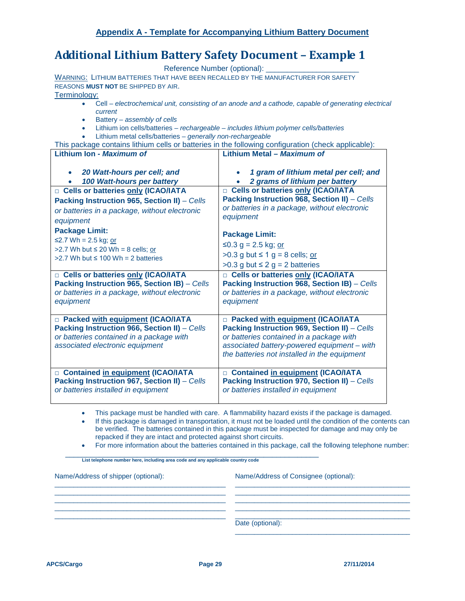## **Additional Lithium Battery Safety Document – Example 1**

Reference Number (optional):

WARNING: LITHIUM BATTERIES THAT HAVE BEEN RECALLED BY THE MANUFACTURER FOR SAFETY REASONS **MUST NOT** BE SHIPPED BY AIR.

Terminology:

- Cell *electrochemical unit, consisting of an anode and a cathode, capable of generating electrical current*
- Battery *assembly of cells*
- Lithium ion cells/batteries *rechargeable – includes lithium polymer cells/batteries*
- Lithium metal cells/batteries *generally non-rechargeable*

| This package contains lithium cells or batteries in the following configuration (check applicable):                                                       |                                                                                                                                                    |  |
|-----------------------------------------------------------------------------------------------------------------------------------------------------------|----------------------------------------------------------------------------------------------------------------------------------------------------|--|
| Lithium Ion - Maximum of                                                                                                                                  | Lithium Metal - Maximum of                                                                                                                         |  |
| 20 Watt-hours per cell; and<br>100 Watt-hours per battery                                                                                                 | 1 gram of lithium metal per cell; and<br>2 grams of lithium per battery                                                                            |  |
| Cells or batteries only (ICAO/IATA                                                                                                                        | □ Cells or batteries only (ICAO/IATA                                                                                                               |  |
| Packing Instruction 965, Section II) - Cells                                                                                                              | Packing Instruction 968, Section II) - Cells                                                                                                       |  |
| or batteries in a package, without electronic                                                                                                             | or batteries in a package, without electronic                                                                                                      |  |
| equipment                                                                                                                                                 | equipment                                                                                                                                          |  |
| <b>Package Limit:</b>                                                                                                                                     | <b>Package Limit:</b>                                                                                                                              |  |
| ≤2.7 Wh = 2.5 kg; or                                                                                                                                      | ≤0.3 g = 2.5 kg; <u>or</u>                                                                                                                         |  |
| >2.7 Wh but $\leq$ 20 Wh = 8 cells; or                                                                                                                    | $>0.3$ g but $\leq 1$ g = 8 cells; or                                                                                                              |  |
| $>2.7$ Wh but $\leq 100$ Wh = 2 batteries                                                                                                                 | >0.3 g but $\leq$ 2 g = 2 batteries                                                                                                                |  |
|                                                                                                                                                           |                                                                                                                                                    |  |
| <b>D</b> Cells or batteries only (ICAO/IATA<br>Packing Instruction 965, Section IB) - Cells<br>or batteries in a package, without electronic<br>equipment | □ Cells or batteries only (ICAO/IATA<br>Packing Instruction 968, Section IB) - Cells<br>or batteries in a package, without electronic<br>equipment |  |
| D Packed with equipment (ICAO/IATA                                                                                                                        | D Packed with equipment (ICAO/IATA                                                                                                                 |  |
| Packing Instruction 966, Section II) - Cells                                                                                                              | Packing Instruction 969, Section II) - Cells                                                                                                       |  |
| or batteries contained in a package with                                                                                                                  | or batteries contained in a package with                                                                                                           |  |
| associated electronic equipment                                                                                                                           | associated battery-powered equipment - with<br>the batteries not installed in the equipment                                                        |  |
| □ Contained in equipment (ICAO/IATA                                                                                                                       | □ Contained in equipment (ICAO/IATA                                                                                                                |  |
| Packing Instruction 967, Section II) - Cells<br>or batteries installed in equipment                                                                       | Packing Instruction 970, Section II) - Cells<br>or batteries installed in equipment                                                                |  |

• This package must be handled with care. A flammability hazard exists if the package is damaged.

 $\_$  ,  $\_$  ,  $\_$  ,  $\_$  ,  $\_$  ,  $\_$  ,  $\_$  ,  $\_$  ,  $\_$  ,  $\_$  ,  $\_$  ,  $\_$  ,  $\_$  ,  $\_$  ,  $\_$  ,  $\_$  ,  $\_$  ,  $\_$  ,  $\_$  ,  $\_$  ,  $\_$  ,  $\_$  ,  $\_$  ,  $\_$  ,  $\_$  ,  $\_$  ,  $\_$  ,  $\_$  ,  $\_$  ,  $\_$  ,  $\_$  ,  $\_$  ,  $\_$  ,  $\_$  ,  $\_$  ,  $\_$  ,  $\_$  ,  $\_$  ,  $\_$  ,  $\_$  ,  $\_$  ,  $\_$  ,  $\_$  ,  $\_$  ,  $\_$  ,  $\_$  ,  $\_$  ,  $\_$  ,  $\_$  ,  $\_$  ,  $\_$  ,  $\_$  ,  $\_$  ,  $\_$  ,  $\_$  ,  $\_$  ,  $\_$  ,  $\_$  ,  $\_$  ,  $\_$  ,  $\_$  ,  $\_$  ,  $\_$  ,  $\_$  ,  $\_$  ,  $\_$  ,  $\_$  ,  $\_$  ,  $\_$  ,  $\_$  ,  $\_$  ,  $\_$  ,  $\_$  ,  $\_$  ,  $\_$  ,  $\_$  ,  $\_$  ,  $\_$  ,  $\_$  ,  $\_$  ,  $\_$  ,  $\_$  ,  $\_$  ,  $\_$  ,  $\_$  ,  $\_$  ,  $\_$  ,  $\_$  ,  $\_$  ,  $\_$  ,  $\_$  ,  $\_$  ,  $\_$  ,  $\_$  ,  $\_$  ,  $\_$  ,  $\_$  ,  $\_$  ,  $\_$  ,  $\_$  ,  $\_$  ,  $\_$  ,  $\_$  ,  $\_$  ,  $\_$  ,  $\_$  ,  $\_$  ,  $\_$  ,  $\_$  ,  $\_$  ,  $\_$  ,  $\_$  ,  $\_$  ,  $\_$  ,  $\_$  ,  $\_$  ,  $\_$  ,  $\_$  ,  $\_$  ,  $\_$  ,  $\_$  ,  $\_$  ,  $\_$  ,  $\_$  ,  $\_$  ,  $\_$  ,  $\_$  ,  $\_$  ,  $\_$  ,  $\_$  ,  $\_$  ,  $\_$  ,  $\_$  ,  $\_$  ,  $\_$  ,  $\_$  ,  $\_$  ,  $\_$  ,  $\_$  ,  $\_$  ,  $\_$  ,  $\_$  ,  $\_$  ,  $\_$  ,  $\_$  ,  $\_$  ,  $\_$  ,  $\_$  ,

• If this package is damaged in transportation, it must not be loaded until the condition of the contents can be verified. The batteries contained in this package must be inspected for damage and may only be repacked if they are intact and protected against short circuits.

• For more information about the batteries contained in this package, call the following telephone number:

\_\_\_\_\_\_\_\_\_\_\_\_\_\_\_\_\_\_\_\_\_\_\_\_\_\_\_\_\_\_\_\_\_\_\_\_\_\_\_\_\_\_\_\_\_\_\_\_\_\_\_\_\_\_\_\_\_\_\_\_ **List telephone number here, including area code and any applicable country code**

Name/Address of shipper (optional):

\_\_\_\_\_\_\_\_\_\_\_\_\_\_\_\_\_\_\_\_\_\_\_\_\_\_\_\_\_\_\_\_\_\_\_\_\_\_\_\_\_\_\_\_\_

Name/Address of Consignee (optional):

\_\_\_\_\_\_\_\_\_\_\_\_\_\_\_\_\_\_\_\_\_\_\_\_\_\_\_\_\_\_\_\_\_\_\_\_\_\_\_\_\_\_\_\_\_\_

\_\_\_\_\_\_\_\_\_\_\_\_\_\_\_\_\_\_\_\_\_\_\_\_\_\_\_\_\_\_\_\_\_\_\_\_\_\_\_\_\_\_\_\_\_\_

Date (optional):